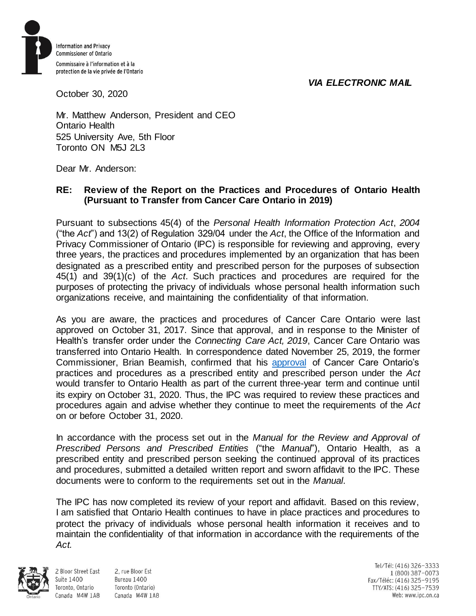## *VIA ELECTRONIC MAIL*



October 30, 2020

Mr. Matthew Anderson, President and CEO Ontario Health 525 University Ave, 5th Floor Toronto ON M5J 2L3

Dear Mr. Anderson:

## **RE: Review of the Report on the Practices and Procedures of Ontario Health (Pursuant to Transfer from Cancer Care Ontario in 2019)**

Pursuant to subsections 45(4) of the *Personal Health Information Protection Act*, *2004*  ("the *Act*") and 13(2) of Regulation 329/04 under the *Act*, the Office of the Information and Privacy Commissioner of Ontario (IPC) is responsible for reviewing and approving, every three years, the practices and procedures implemented by an organization that has been designated as a prescribed entity and prescribed person for the purposes of subsection 45(1) and 39(1)(c) of the *Act*. Such practices and procedures are required for the purposes of protecting the privacy of individuals whose personal health information such organizations receive, and maintaining the confidentiality of that information.

As you are aware, the practices and procedures of Cancer Care Ontario were last approved on October 31, 2017. Since that approval, and in response to the Minister of Health's transfer order under the *Connecting Care Act, 2019*, Cancer Care Ontario was transferred into Ontario Health. In correspondence dated November 25, 2019, the former Commissioner, Brian Beamish, confirmed that his [approval](https://www.ipc.on.ca/wp-content/uploads/2019/10/cco-ltr-re-transfer-to-oh-2019-11-25.pdf) of Cancer Care Ontario's practices and procedures as a prescribed entity and prescribed person under the *Act* would transfer to Ontario Health as part of the current three-year term and continue until its expiry on October 31, 2020. Thus, the IPC was required to review these practices and procedures again and advise whether they continue to meet the requirements of the *Act* on or before October 31, 2020.

In accordance with the process set out in the *Manual for the Review and Approval of Prescribed Persons and Prescribed Entities* ("the *Manual*"), Ontario Health, as a prescribed entity and prescribed person seeking the continued approval of its practices and procedures, submitted a detailed written report and sworn affidavit to the IPC. These documents were to conform to the requirements set out in the *Manual*.

The IPC has now completed its review of your report and affidavit. Based on this review, I am satisfied that Ontario Health continues to have in place practices and procedures to protect the privacy of individuals whose personal health information it receives and to maintain the confidentiality of that information in accordance with the requirements of the *Act.*



**Suite 1400** 

Toronto, Ontario

2 Bloor Street East 2. rue Bloor Est Bureau 1400 Toronto (Ontario) Canada M4W 1A8 Canada M4W 1A8

Tel/Tél: (416) 326-3333 1 (800) 387-0073 Fax/Téléc: (416) 325-9195 TTY/ATS: (416) 325-7539 Web: www.ipc.on.ca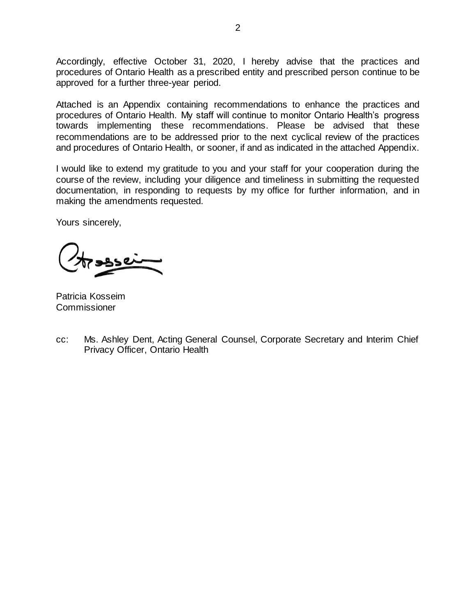Accordingly, effective October 31, 2020, I hereby advise that the practices and procedures of Ontario Health as a prescribed entity and prescribed person continue to be approved for a further three-year period.

Attached is an Appendix containing recommendations to enhance the practices and procedures of Ontario Health. My staff will continue to monitor Ontario Health's progress towards implementing these recommendations. Please be advised that these recommendations are to be addressed prior to the next cyclical review of the practices and procedures of Ontario Health, or sooner, if and as indicated in the attached Appendix.

I would like to extend my gratitude to you and your staff for your cooperation during the course of the review, including your diligence and timeliness in submitting the requested documentation, in responding to requests by my office for further information, and in making the amendments requested.

Yours sincerely,

Patricia Kosseim **Commissioner** 

cc: Ms. Ashley Dent, Acting General Counsel, Corporate Secretary and Interim Chief Privacy Officer, Ontario Health